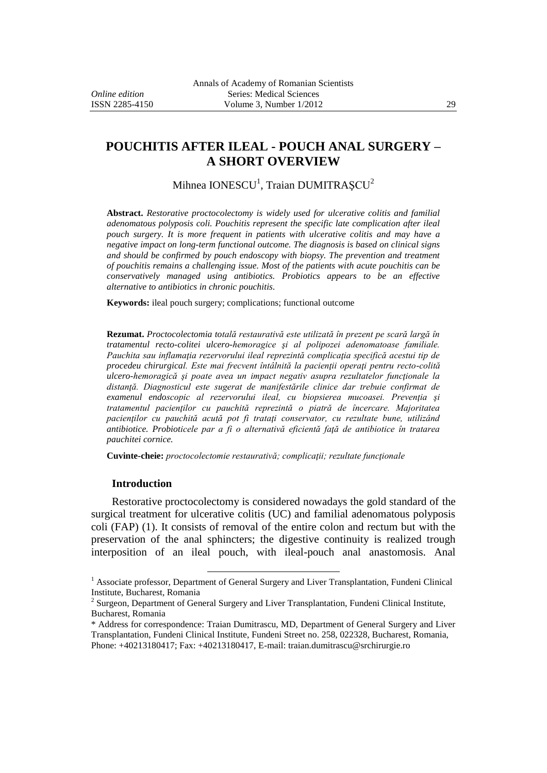# **POUCHITIS AFTER ILEAL - POUCH ANAL SURGERY – A SHORT OVERVIEW**

Mihnea IONESCU<sup>1</sup>, Traian DUMITRAȘCU<sup>2</sup>

**Abstract.** *Restorative proctocolectomy is widely used for ulcerative colitis and familial adenomatous polyposis coli. Pouchitis represent the specific late complication after ileal pouch surgery. It is more frequent in patients with ulcerative colitis and may have a negative impact on long-term functional outcome. The diagnosis is based on clinical signs and should be confirmed by pouch endoscopy with biopsy. The prevention and treatment of pouchitis remains a challenging issue. Most of the patients with acute pouchitis can be conservatively managed using antibiotics. Probiotics appears to be an effective alternative to antibiotics in chronic pouchitis.*

**Keywords:** ileal pouch surgery; complications; functional outcome

**Rezumat.** *Proctocolectomia totală restaurativă este utilizată în prezent pe scară largă în tratamentul recto-colitei ulcero-hemoragice şi al polipozei adenomatoase familiale. Pauchita sau inflamaţia rezervorului ileal reprezintă complicaţia specifică acestui tip de procedeu chirurgical. Este mai frecvent întâlnită la pacienţii operaţi pentru recto-colită ulcero-hemoragică şi poate avea un impact negativ asupra rezultatelor funcţionale la distanţă. Diagnosticul este sugerat de manifestările clinice dar trebuie confirmat de examenul endoscopic al rezervorului ileal, cu biopsierea mucoasei. Prevenţia şi tratamentul pacienţilor cu pauchită reprezintă o piatră de încercare. Majoritatea pacienţilor cu pauchită acută pot fi trataţi conservator, cu rezultate bune, utilizând antibiotice. Probioticele par a fi o alternativă eficientă faţă de antibiotice în tratarea pauchitei cornice.*

**Cuvinte-cheie:** *proctocolectomie restaurativă; complicaţii; rezultate funcţionale*

#### **Introduction**

Restorative proctocolectomy is considered nowadays the gold standard of the surgical treatment for ulcerative colitis (UC) and familial adenomatous polyposis coli (FAP) (1). It consists of removal of the entire colon and rectum but with the preservation of the anal sphincters; the digestive continuity is realized trough interposition of an ileal pouch, with ileal-pouch anal anastomosis. Anal

 $\overline{a}$ 

 $<sup>1</sup>$  Associate professor, Department of General Surgery and Liver Transplantation, Fundeni Clinical</sup> Institute, Bucharest, Romania

 $2$  Surgeon, Department of General Surgery and Liver Transplantation, Fundeni Clinical Institute, Bucharest, Romania

<sup>\*</sup> Address for correspondence: Traian Dumitrascu, MD, Department of General Surgery and Liver Transplantation, Fundeni Clinical Institute, Fundeni Street no. 258, 022328, Bucharest, Romania, Phone: +40213180417; Fax: +40213180417, E-mail: [traian.dumitrascu@srchirurgie.ro](mailto:traian.dumitrascu@srchirurgie.ro)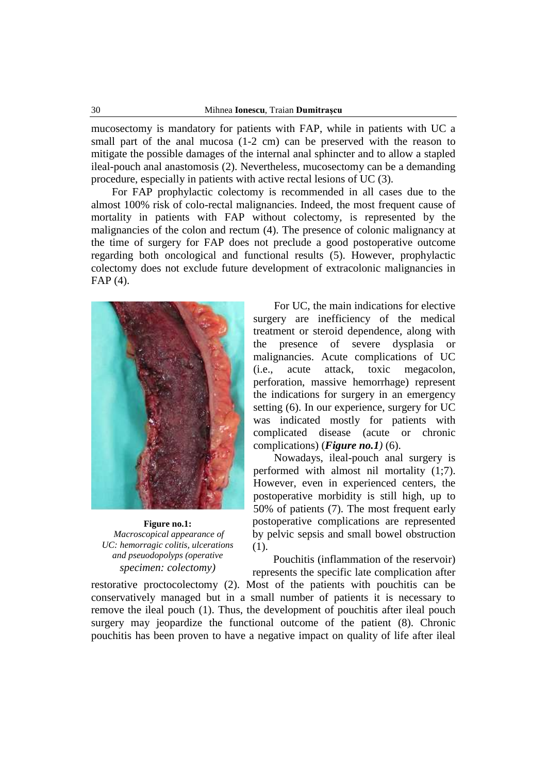mucosectomy is mandatory for patients with FAP, while in patients with UC a small part of the anal mucosa (1-2 cm) can be preserved with the reason to mitigate the possible damages of the internal anal sphincter and to allow a stapled ileal-pouch anal anastomosis (2). Nevertheless, mucosectomy can be a demanding procedure, especially in patients with active rectal lesions of UC (3).

For FAP prophylactic colectomy is recommended in all cases due to the almost 100% risk of colo-rectal malignancies. Indeed, the most frequent cause of mortality in patients with FAP without colectomy, is represented by the malignancies of the colon and rectum (4). The presence of colonic malignancy at the time of surgery for FAP does not preclude a good postoperative outcome regarding both oncological and functional results (5). However, prophylactic colectomy does not exclude future development of extracolonic malignancies in FAP (4).



**Figure no.1:** *Macroscopical appearance of UC: hemorragic colitis, ulcerations and pseuodopolyps (operative specimen: colectomy)*

For UC, the main indications for elective surgery are inefficiency of the medical treatment or steroid dependence, along with the presence of severe dysplasia or malignancies. Acute complications of UC (i.e., acute attack, toxic megacolon, perforation, massive hemorrhage) represent the indications for surgery in an emergency setting (6). In our experience, surgery for UC was indicated mostly for patients with complicated disease (acute or chronic complications) (*Figure no.1)* (6).

Nowadays, ileal-pouch anal surgery is performed with almost nil mortality (1;7). However, even in experienced centers, the postoperative morbidity is still high, up to 50% of patients (7). The most frequent early postoperative complications are represented by pelvic sepsis and small bowel obstruction (1).

Pouchitis (inflammation of the reservoir) represents the specific late complication after

restorative proctocolectomy (2). Most of the patients with pouchitis can be conservatively managed but in a small number of patients it is necessary to remove the ileal pouch (1). Thus, the development of pouchitis after ileal pouch surgery may jeopardize the functional outcome of the patient (8). Chronic pouchitis has been proven to have a negative impact on quality of life after ileal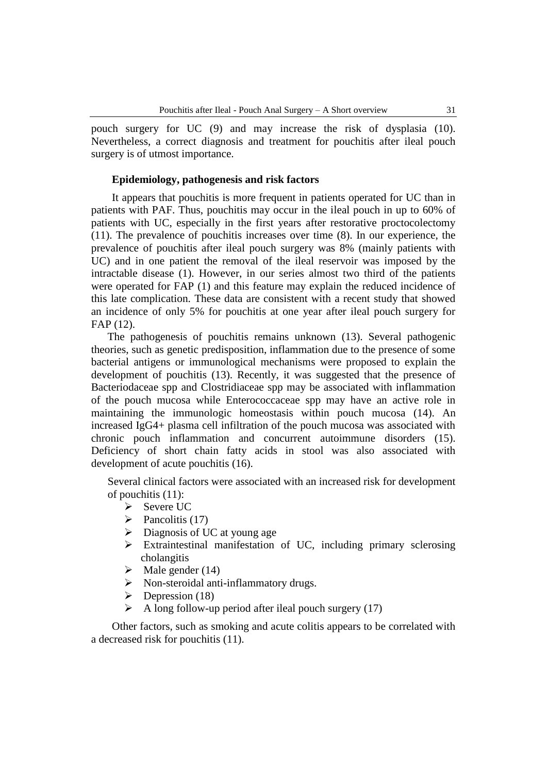pouch surgery for UC (9) and may increase the risk of dysplasia (10). Nevertheless, a correct diagnosis and treatment for pouchitis after ileal pouch surgery is of utmost importance.

#### **Epidemiology, pathogenesis and risk factors**

It appears that pouchitis is more frequent in patients operated for UC than in patients with PAF. Thus, pouchitis may occur in the ileal pouch in up to 60% of patients with UC, especially in the first years after restorative proctocolectomy (11). The prevalence of pouchitis increases over time (8). In our experience, the prevalence of pouchitis after ileal pouch surgery was 8% (mainly patients with UC) and in one patient the removal of the ileal reservoir was imposed by the intractable disease (1). However, in our series almost two third of the patients were operated for FAP (1) and this feature may explain the reduced incidence of this late complication. These data are consistent with a recent study that showed an incidence of only 5% for pouchitis at one year after ileal pouch surgery for FAP (12).

The pathogenesis of pouchitis remains unknown (13). Several pathogenic theories, such as genetic predisposition, inflammation due to the presence of some bacterial antigens or immunological mechanisms were proposed to explain the development of pouchitis (13). Recently, it was suggested that the presence of Bacteriodaceae spp and Clostridiaceae spp may be associated with inflammation of the pouch mucosa while Enterococcaceae spp may have an active role in maintaining the immunologic homeostasis within pouch mucosa (14). An increased IgG4+ plasma cell infiltration of the pouch mucosa was associated with chronic pouch inflammation and concurrent autoimmune disorders (15). Deficiency of short chain fatty acids in stool was also associated with development of acute pouchitis (16).

Several clinical factors were associated with an increased risk for development of pouchitis (11):

- Severe UC
- $\triangleright$  Pancolitis (17)
- $\triangleright$  Diagnosis of UC at young age
- $\triangleright$  Extraintestinal manifestation of UC, including primary sclerosing cholangitis
- $\blacktriangleright$  Male gender (14)
- $\triangleright$  Non-steroidal anti-inflammatory drugs.
- $\triangleright$  Depression (18)
- $\triangleright$  A long follow-up period after ileal pouch surgery (17)

Other factors, such as smoking and acute colitis appears to be correlated with a decreased risk for pouchitis (11).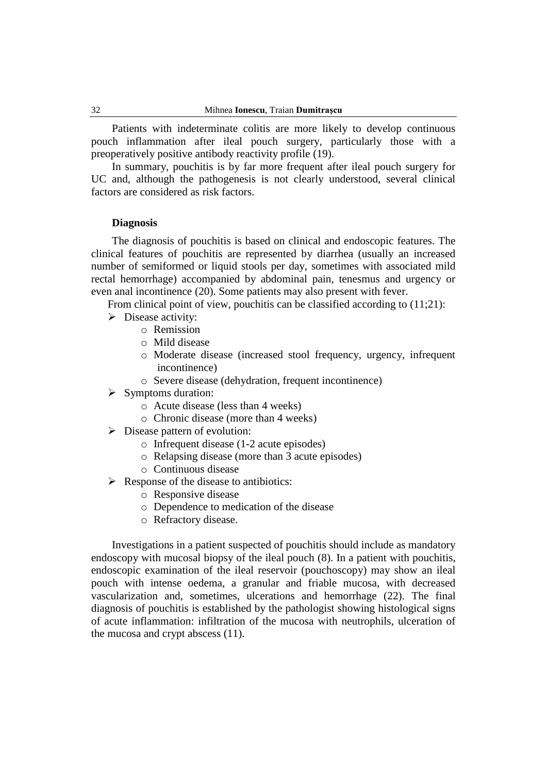Patients with indeterminate colitis are more likely to develop continuous pouch inflammation after ileal pouch surgery, particularly those with a preoperatively positive antibody reactivity profile (19).

In summary, pouchitis is by far more frequent after ileal pouch surgery for UC and, although the pathogenesis is not clearly understood, several clinical factors are considered as risk factors.

#### **Diagnosis**

The diagnosis of pouchitis is based on clinical and endoscopic features. The clinical features of pouchitis are represented by diarrhea (usually an increased number of semiformed or liquid stools per day, sometimes with associated mild rectal hemorrhage) accompanied by abdominal pain, tenesmus and urgency or even anal incontinence (20). Some patients may also present with fever.

From clinical point of view, pouchitis can be classified according to  $(11;21)$ :

- $\triangleright$  Disease activity:
	- o Remission
	- o Mild disease
	- o Moderate disease (increased stool frequency, urgency, infrequent incontinence)
	- o Severe disease (dehydration, frequent incontinence)
- $\triangleright$  Symptoms duration:
	- o Acute disease (less than 4 weeks)
	- o Chronic disease (more than 4 weeks)
- $\triangleright$  Disease pattern of evolution:
	- o Infrequent disease (1-2 acute episodes)
	- o Relapsing disease (more than 3 acute episodes)
	- o Continuous disease
- $\triangleright$  Response of the disease to antibiotics:
	- o Responsive disease
	- o Dependence to medication of the disease
	- o Refractory disease.

Investigations in a patient suspected of pouchitis should include as mandatory endoscopy with mucosal biopsy of the ileal pouch (8). In a patient with pouchitis, endoscopic examination of the ileal reservoir (pouchoscopy) may show an ileal pouch with intense oedema, a granular and friable mucosa, with decreased vascularization and, sometimes, ulcerations and hemorrhage (22). The final diagnosis of pouchitis is established by the pathologist showing histological signs of acute inflammation: infiltration of the mucosa with neutrophils, ulceration of the mucosa and crypt abscess (11).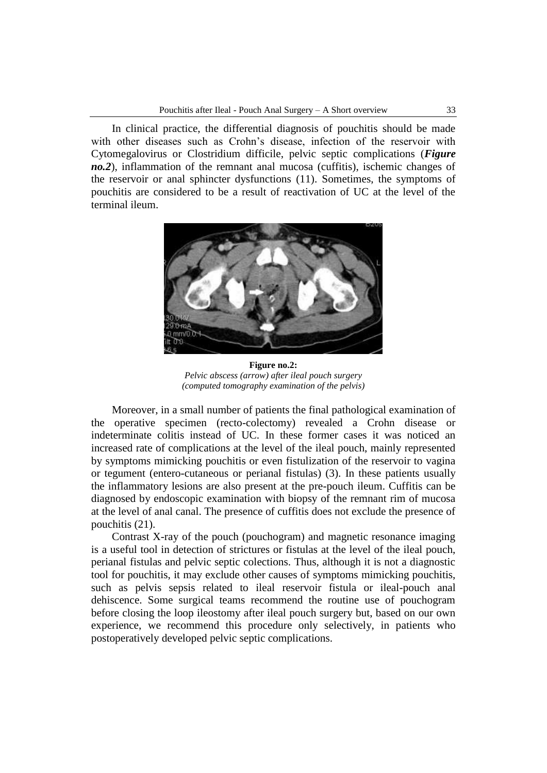In clinical practice, the differential diagnosis of pouchitis should be made with other diseases such as Crohn's disease, infection of the reservoir with Cytomegalovirus or Clostridium difficile, pelvic septic complications (*Figure no.2*), inflammation of the remnant anal mucosa (cuffitis), ischemic changes of the reservoir or anal sphincter dysfunctions (11). Sometimes, the symptoms of pouchitis are considered to be a result of reactivation of UC at the level of the terminal ileum.



**Figure no.2:** *Pelvic abscess (arrow) after ileal pouch surgery (computed tomography examination of the pelvis)*

Moreover, in a small number of patients the final pathological examination of the operative specimen (recto-colectomy) revealed a Crohn disease or indeterminate colitis instead of UC. In these former cases it was noticed an increased rate of complications at the level of the ileal pouch, mainly represented by symptoms mimicking pouchitis or even fistulization of the reservoir to vagina or tegument (entero-cutaneous or perianal fistulas) (3). In these patients usually the inflammatory lesions are also present at the pre-pouch ileum. Cuffitis can be diagnosed by endoscopic examination with biopsy of the remnant rim of mucosa at the level of anal canal. The presence of cuffitis does not exclude the presence of pouchitis (21).

Contrast X-ray of the pouch (pouchogram) and magnetic resonance imaging is a useful tool in detection of strictures or fistulas at the level of the ileal pouch, perianal fistulas and pelvic septic colections. Thus, although it is not a diagnostic tool for pouchitis, it may exclude other causes of symptoms mimicking pouchitis, such as pelvis sepsis related to ileal reservoir fistula or ileal-pouch anal dehiscence. Some surgical teams recommend the routine use of pouchogram before closing the loop ileostomy after ileal pouch surgery but, based on our own experience, we recommend this procedure only selectively, in patients who postoperatively developed pelvic septic complications.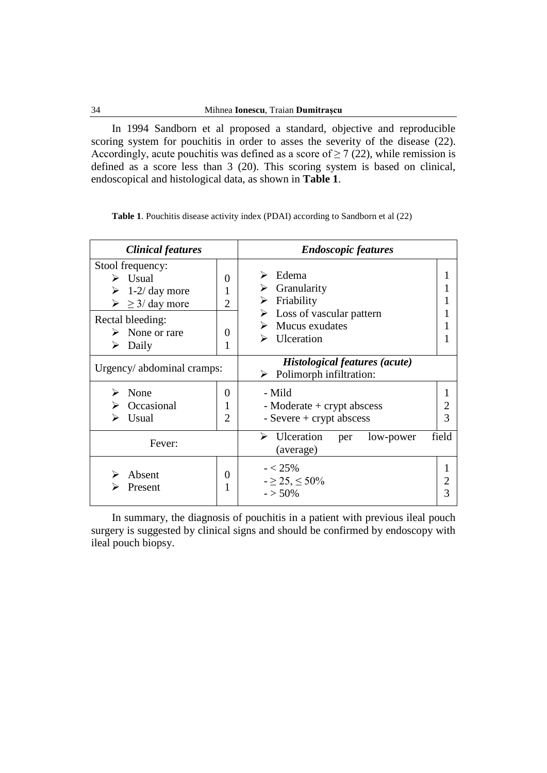In 1994 Sandborn et al proposed a standard, objective and reproducible scoring system for pouchitis in order to asses the severity of the disease (22). Accordingly, acute pouchitis was defined as a score of  $\geq$  7 (22), while remission is defined as a score less than 3 (20). This scoring system is based on clinical, endoscopical and histological data, as shown in **Table 1**.

|  |  |  |  |  |  | <b>Table 1.</b> Pouchitis disease activity index (PDAI) according to Sandborn et al (22) |  |
|--|--|--|--|--|--|------------------------------------------------------------------------------------------|--|
|--|--|--|--|--|--|------------------------------------------------------------------------------------------|--|

| <b>Clinical features</b>                                                                                                             |                          | <b>Endoscopic features</b>                                                                               |       |  |  |  |
|--------------------------------------------------------------------------------------------------------------------------------------|--------------------------|----------------------------------------------------------------------------------------------------------|-------|--|--|--|
| Stool frequency:<br>Usual<br>↘<br>$1-2$ day more<br>➤<br>$\geq$ $\geq$ 3/ day more<br>Rectal bleeding:<br>None or rare<br>Daily<br>➤ | 0<br>2<br>0<br>1         | Edema<br>⋗<br>Granularity<br>Friability<br>➤<br>Loss of vascular pattern<br>Mucus exudates<br>Ulceration |       |  |  |  |
| Urgency/ abdominal cramps:                                                                                                           |                          | <b>Histological features (acute)</b><br>Polimorph infiltration:<br>➤                                     |       |  |  |  |
| None<br>⋗<br>Occasional<br>Usual                                                                                                     | 0<br>1<br>$\overline{2}$ | - Mild<br>- Moderate + crypt abscess<br>- Severe $+$ crypt abscess                                       | 3     |  |  |  |
| Fever:                                                                                                                               |                          | $\triangleright$ Ulceration<br>low-power<br>per<br>(average)                                             | field |  |  |  |
| Absent<br>Present                                                                                                                    | 0                        | $- < 25\%$<br>$-25, \leq 50\%$<br>$-$ > 50%                                                              |       |  |  |  |

In summary, the diagnosis of pouchitis in a patient with previous ileal pouch surgery is suggested by clinical signs and should be confirmed by endoscopy with ileal pouch biopsy.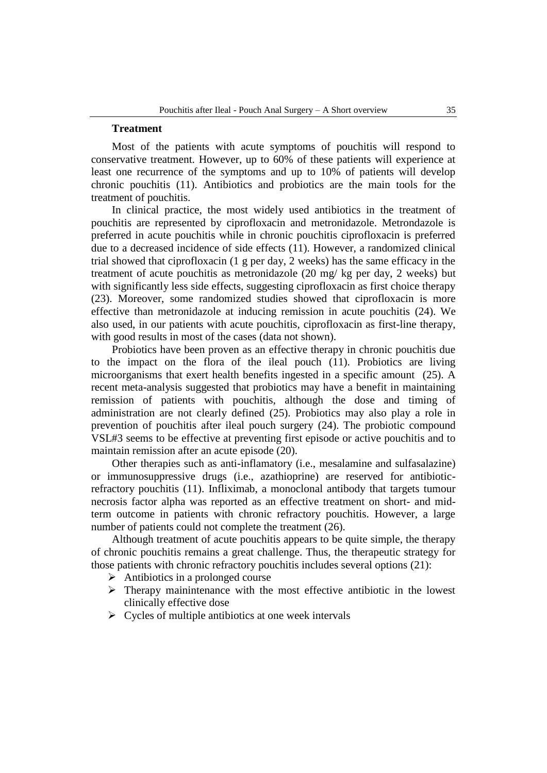#### **Treatment**

Most of the patients with acute symptoms of pouchitis will respond to conservative treatment. However, up to 60% of these patients will experience at least one recurrence of the symptoms and up to 10% of patients will develop chronic pouchitis (11). Antibiotics and probiotics are the main tools for the treatment of pouchitis.

In clinical practice, the most widely used antibiotics in the treatment of pouchitis are represented by ciprofloxacin and metronidazole. Metrondazole is preferred in acute pouchitis while in chronic pouchitis ciprofloxacin is preferred due to a decreased incidence of side effects (11). However, a randomized clinical trial showed that ciprofloxacin (1 g per day, 2 weeks) has the same efficacy in the treatment of acute pouchitis as metronidazole (20 mg/ kg per day, 2 weeks) but with significantly less side effects, suggesting ciprofloxacin as first choice therapy (23). Moreover, some randomized studies showed that ciprofloxacin is more effective than metronidazole at inducing remission in acute pouchitis (24). We also used, in our patients with acute pouchitis, ciprofloxacin as first-line therapy, with good results in most of the cases (data not shown).

Probiotics have been proven as an effective therapy in chronic pouchitis due to the impact on the flora of the ileal pouch (11). Probiotics are living microorganisms that exert health benefits ingested in a specific amount (25). A recent meta-analysis suggested that probiotics may have a benefit in maintaining remission of patients with pouchitis, although the dose and timing of administration are not clearly defined (25). Probiotics may also play a role in prevention of pouchitis after ileal pouch surgery (24). The probiotic compound VSL#3 seems to be effective at preventing first episode or active pouchitis and to maintain remission after an acute episode (20).

Other therapies such as anti-inflamatory (i.e., mesalamine and sulfasalazine) or immunosuppressive drugs (i.e., azathioprine) are reserved for antibioticrefractory pouchitis (11). Infliximab, a monoclonal antibody that targets tumour necrosis factor alpha was reported as an effective treatment on short- and midterm outcome in patients with chronic refractory pouchitis. However, a large number of patients could not complete the treatment (26).

Although treatment of acute pouchitis appears to be quite simple, the therapy of chronic pouchitis remains a great challenge. Thus, the therapeutic strategy for those patients with chronic refractory pouchitis includes several options (21):

- $\triangleright$  Antibiotics in a prolonged course
- $\triangleright$  Therapy mainintenance with the most effective antibiotic in the lowest clinically effective dose
- $\triangleright$  Cycles of multiple antibiotics at one week intervals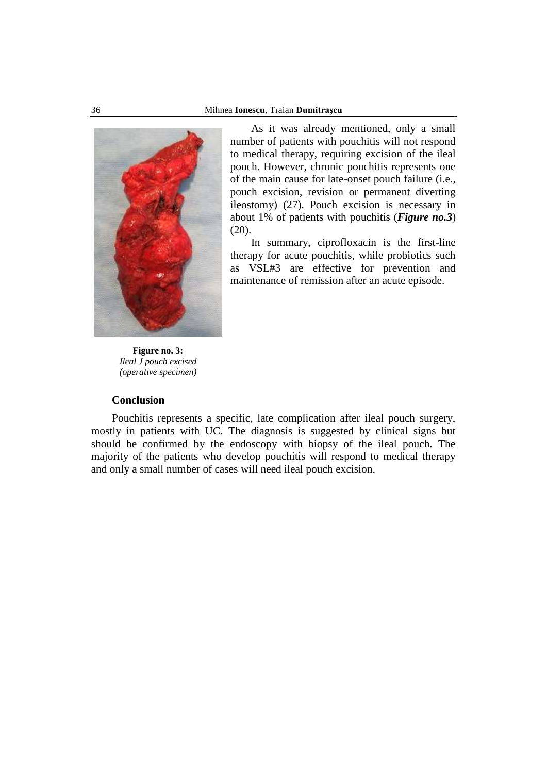

As it was already mentioned, only a small number of patients with pouchitis will not respond to medical therapy, requiring excision of the ileal pouch. However, chronic pouchitis represents one of the main cause for late-onset pouch failure (i.e., pouch excision, revision or permanent diverting ileostomy) (27). Pouch excision is necessary in about 1% of patients with pouchitis (*Figure no.3*) (20).

In summary, ciprofloxacin is the first-line therapy for acute pouchitis, while probiotics such as VSL#3 are effective for prevention and maintenance of remission after an acute episode.

**Figure no. 3:** *Ileal J pouch excised (operative specimen)*

## **Conclusion**

Pouchitis represents a specific, late complication after ileal pouch surgery, mostly in patients with UC. The diagnosis is suggested by clinical signs but should be confirmed by the endoscopy with biopsy of the ileal pouch. The majority of the patients who develop pouchitis will respond to medical therapy and only a small number of cases will need ileal pouch excision.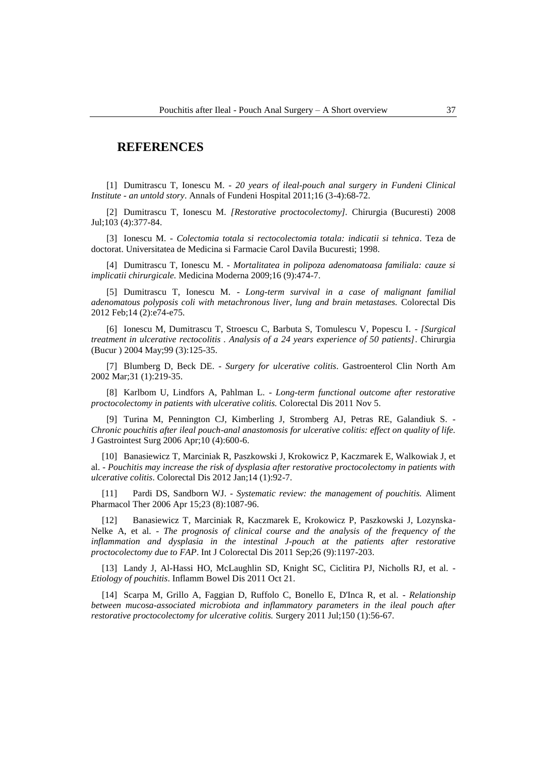### **REFERENCES**

[1] Dumitrascu T, Ionescu M. - *20 years of ileal-pouch anal surgery in Fundeni Clinical Institute - an untold story*. Annals of Fundeni Hospital 2011;16 (3-4):68-72.

[2] Dumitrascu T, Ionescu M. *[Restorative proctocolectomy].* Chirurgia (Bucuresti) 2008 Jul;103 (4):377-84.

[3] Ionescu M. - *Colectomia totala si rectocolectomia totala: indicatii si tehnica*. Teza de doctorat. Universitatea de Medicina si Farmacie Carol Davila Bucuresti; 1998.

[4] Dumitrascu T, Ionescu M. - *Mortalitatea in polipoza adenomatoasa familiala: cauze si implicatii chirurgicale.* Medicina Moderna 2009;16 (9):474-7.

[5] Dumitrascu T, Ionescu M. - *Long-term survival in a case of malignant familial adenomatous polyposis coli with metachronous liver, lung and brain metastases.* Colorectal Dis 2012 Feb;14 (2):e74-e75.

[6] Ionescu M, Dumitrascu T, Stroescu C, Barbuta S, Tomulescu V, Popescu I. - *[Surgical treatment in ulcerative rectocolitis . Analysis of a 24 years experience of 50 patients]*. Chirurgia (Bucur ) 2004 May;99 (3):125-35.

[7] Blumberg D, Beck DE. - *Surgery for ulcerative colitis*. Gastroenterol Clin North Am 2002 Mar;31 (1):219-35.

[8] Karlbom U, Lindfors A, Pahlman L. - *Long-term functional outcome after restorative proctocolectomy in patients with ulcerative colitis.* Colorectal Dis 2011 Nov 5.

[9] Turina M, Pennington CJ, Kimberling J, Stromberg AJ, Petras RE, Galandiuk S. - *Chronic pouchitis after ileal pouch-anal anastomosis for ulcerative colitis: effect on quality of life.*  J Gastrointest Surg 2006 Apr;10 (4):600-6.

[10] Banasiewicz T, Marciniak R, Paszkowski J, Krokowicz P, Kaczmarek E, Walkowiak J, et al. - *Pouchitis may increase the risk of dysplasia after restorative proctocolectomy in patients with ulcerative colitis*. Colorectal Dis 2012 Jan;14 (1):92-7.

[11] Pardi DS, Sandborn WJ. - *Systematic review: the management of pouchitis.* Aliment Pharmacol Ther 2006 Apr 15;23 (8):1087-96.

[12] Banasiewicz T, Marciniak R, Kaczmarek E, Krokowicz P, Paszkowski J, Lozynska-Nelke A, et al. - *The prognosis of clinical course and the analysis of the frequency of the inflammation and dysplasia in the intestinal J-pouch at the patients after restorative proctocolectomy due to FAP*. Int J Colorectal Dis 2011 Sep;26 (9):1197-203.

[13] Landy J, Al-Hassi HO, McLaughlin SD, Knight SC, Ciclitira PJ, Nicholls RJ, et al. - *Etiology of pouchitis*. Inflamm Bowel Dis 2011 Oct 21.

[14] Scarpa M, Grillo A, Faggian D, Ruffolo C, Bonello E, D'Inca R, et al. - *Relationship between mucosa-associated microbiota and inflammatory parameters in the ileal pouch after restorative proctocolectomy for ulcerative colitis.* Surgery 2011 Jul;150 (1):56-67.